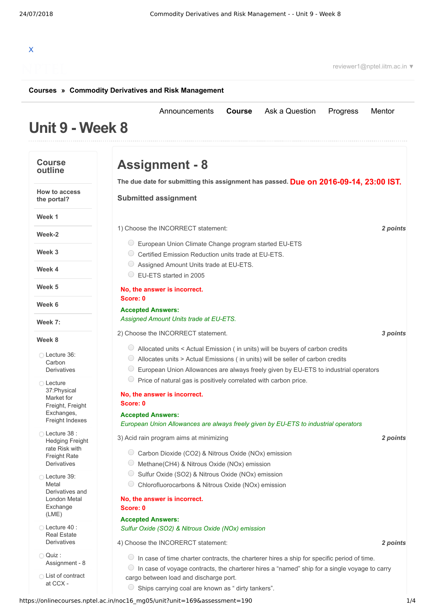# X

reviewer1@nptel.iitm.ac.in ▼

# **[Courses](https://onlinecourses.nptel.ac.in/) » [Commodity Derivatives and Risk Management](https://onlinecourses.nptel.ac.in/noc16_mg05/course)**

### **Unit 9 - Week 8** [Announcements](https://onlinecourses.nptel.ac.in/noc16_mg05/announcements) **[Course](https://onlinecourses.nptel.ac.in/noc16_mg05/course)** [Ask a Question](https://onlinecourses.nptel.ac.in/noc16_mg05/forum) [Progress](https://onlinecourses.nptel.ac.in/noc16_mg05/student/home) [Mentor](https://onlinecourses.nptel.ac.in/noc16_mg05/student/mentor) **Course outline How to access the portal? Week 1 Week-2 Week 3 Week 4 Week 5 Week 6 Week 7: Week 8** Lecture 36: Carbon **[Derivatives](https://onlinecourses.nptel.ac.in/noc16_mg05/unit?unit=169&lesson=191) C** Lecture 37:Physical Market for Freight, Freight [Exchanges,](https://onlinecourses.nptel.ac.in/noc16_mg05/unit?unit=169&lesson=192) Freight Indexes Lecture 38 : Hedging Freight rate Risk with Freight Rate **[Derivatives](https://onlinecourses.nptel.ac.in/noc16_mg05/unit?unit=169&lesson=194)** Lecture 39: Metal [Derivatives](https://onlinecourses.nptel.ac.in/noc16_mg05/unit?unit=169&lesson=193) and London Metal Exchange (LME) Lecture 40 : Real Estate **[Derivatives](https://onlinecourses.nptel.ac.in/noc16_mg05/unit?unit=169&lesson=195)** Quiz : [Assignment](https://onlinecourses.nptel.ac.in/noc16_mg05/assessment?name=190) - 8 List of [contract](https://onlinecourses.nptel.ac.in/noc16_mg05/link?unit=171) at CCX - **Due on 2016-09-14, 23:00 IST. The due date for submitting this assignment has passed.** 1) *2 points* Choose the INCORRECT statement: 2) *3 points* Choose the INCORRECT statement. 3) *2 points* Acid rain program aims at minimizing 4) *2 points* Choose the INCORERCT statement: **Assignment - 8 Submitted assignment** European Union Climate Change program started EU-ETS Certified Emission Reduction units trade at EU-ETS. Assigned Amount Units trade at EU-ETS. EU-ETS started in 2005 **No, the answer is incorrect. Score: 0 Accepted Answers:** *Assigned Amount Units trade at EU-ETS.*  $\circ$  Allocated units < Actual Emission (in units) will be buyers of carbon credits  $\circ$  Allocates units > Actual Emissions (in units) will be seller of carbon credits  $\degree$  European Union Allowances are always freely given by EU-ETS to industrial operators  $\circ$  Price of natural gas is positively correlated with carbon price. **No, the answer is incorrect. Score: 0 Accepted Answers:** *European Union Allowances are always freely given by EU-ETS to industrial operators* Carbon Dioxide (CO2) & Nitrous Oxide (NOx) emission  $\circ$  Methane(CH4) & Nitrous Oxide (NOx) emission ◯ Sulfur Oxide (SO2) & Nitrous Oxide (NOx) emission Chlorofluorocarbons & Nitrous Oxide (NOx) emission **No, the answer is incorrect. Score: 0 Accepted Answers:** *Sulfur Oxide (SO2) & Nitrous Oxide (NOx) emission*  $\circ$  In case of time charter contracts, the charterer hires a ship for specific period of time.  $\circ$  In case of voyage contracts, the charterer hires a "named" ship for a single voyage to carry cargo between load and discharge port.  $\circ$  Ships carrying coal are known as " dirty tankers".

### https://onlinecourses.nptel.ac.in/noc16\_mg05/unit?unit=169&assessment=190 1/4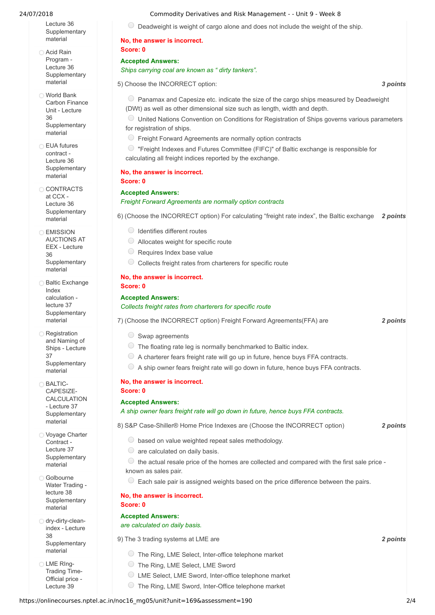Lecture 36 **[Supplementary](https://onlinecourses.nptel.ac.in/noc16_mg05/link?unit=171)** material

Acid Rain Program - Lecture 36 **[Supplementary](https://onlinecourses.nptel.ac.in/noc16_mg05/link?unit=172)** material

World Bank Carbon Finance Unit - Lecture 36 **[Supplementary](https://onlinecourses.nptel.ac.in/noc16_mg05/link?unit=173)** material

**EUA** futures contract - Lecture 36 **[Supplementary](https://onlinecourses.nptel.ac.in/noc16_mg05/link?unit=174)** material

CONTRACTS at CCX - Lecture 36 **[Supplementary](https://onlinecourses.nptel.ac.in/noc16_mg05/link?unit=175)** material

**C** EMISSION AUCTIONS AT EEX - Lecture 36 **[Supplementary](https://onlinecourses.nptel.ac.in/noc16_mg05/link?unit=176)** material

**Baltic Exchange** Index calculation lecture 37 **[Supplementary](https://onlinecourses.nptel.ac.in/noc16_mg05/link?unit=177)** material

**Registration** and Naming of Ships - Lecture 37 **[Supplementary](https://onlinecourses.nptel.ac.in/noc16_mg05/link?unit=178)** material

**BALTIC-**CAPESIZE-[CALCULATION](https://onlinecourses.nptel.ac.in/noc16_mg05/link?unit=179) - Lecture 37 **Supplementary** material

O Voyage Charter Contract - Lecture 37 **[Supplementary](https://onlinecourses.nptel.ac.in/noc16_mg05/link?unit=180)** material

Golbourne Water Trading lecture 38 **[Supplementary](https://onlinecourses.nptel.ac.in/noc16_mg05/link?unit=181)** material

o dry-dirty-cleanindex - Lecture 38 **[Supplementary](https://onlinecourses.nptel.ac.in/noc16_mg05/link?unit=182)** material

LME RIng-[Trading](https://onlinecourses.nptel.ac.in/noc16_mg05/link?unit=183) Time-Official price - Lecture 39

# 24/07/2018 Commodity Derivatives and Risk Management - - Unit 9 - Week 8

 $\circ$  Deadweight is weight of cargo alone and does not include the weight of the ship.

# **No, the answer is incorrect. Score: 0**

**Accepted Answers:** *Ships carrying coal are known as " dirty tankers".*

5) *3 points* Choose the INCORRECT option:

 $\circ$  Panamax and Capesize etc. indicate the size of the cargo ships measured by Deadweight (DWt) as well as other dimensional size such as length, width and depth.

United Nations Convention on Conditions for Registration of Ships governs various parameters for registration of ships.

Freight Forward Agreements are normally option contracts

 $\degree$  "Freight Indexes and Futures Committee (FIFC)" of Baltic exchange is responsible for calculating all freight indices reported by the exchange.

### **No, the answer is incorrect. Score: 0**

# **Accepted Answers:**

# *Freight Forward Agreements are normally option contracts*

6) *2 points* (Choose the INCORRECT option) For calculating "freight rate index", the Baltic exchange

- $\bigcirc$  Identifies different routes
- $\bigcirc$  Allocates weight for specific route
- $\bigcirc$  Requires Index base value
- $\circ$  Collects freight rates from charterers for specific route

# **No, the answer is incorrect.**

# **Score: 0**

# **Accepted Answers:** *Collects freight rates from charterers for specific route*

7) *2 points* (Choose the INCORRECT option) Freight Forward Agreements(FFA) are

- $\circ$  Swap agreements
- $\circ$  The floating rate leg is normally benchmarked to Baltic index.
- $\circledcirc$  A charterer fears freight rate will go up in future, hence buys FFA contracts.
- $\circledcirc$  A ship owner fears freight rate will go down in future, hence buys FFA contracts.

# **No, the answer is incorrect. Score: 0**

# **Accepted Answers:**

*A ship owner fears freight rate will go down in future, hence buys FFA contracts.*

8) *2 points* S&P Case-Shiller® Home Price Indexes are (Choose the INCORRECT option)

- $\circ$  based on value weighted repeat sales methodology.
- $\circ$  are calculated on daily basis.
- $\circledcirc$  the actual resale price of the homes are collected and compared with the first sale price known as sales pair.
- $\circ$  Each sale pair is assigned weights based on the price difference between the pairs.

## **No, the answer is incorrect. Score: 0**

# **Accepted Answers:**

# *are calculated on daily basis.*

9) *2 points* The 3 trading systems at LME are

- The Ring, LME Select, Inter-office telephone market
- The Ring, LME Select, LME Sword
- LME Select, LME Sword, Inter-office telephone market
- The Ring, LME Sword, Inter-Office telephone market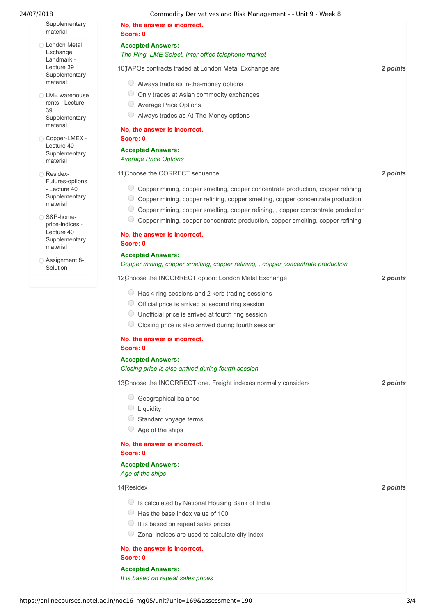| 24/07/2018                                                                          | Commodity Derivatives and Risk Management - - Unit 9 - Week 8                                           |          |
|-------------------------------------------------------------------------------------|---------------------------------------------------------------------------------------------------------|----------|
| Supplementary<br>material                                                           | No, the answer is incorrect.<br>Score: 0                                                                |          |
| ◯ London Metal<br>Exchange<br>Landmark -<br>Lecture 39<br>Supplementary<br>material | <b>Accepted Answers:</b><br>The Ring, LME Select, Inter-office telephone market                         |          |
|                                                                                     | 10) TAPOs contracts traded at London Metal Exchange are<br>$\circ$ Always trade as in-the-money options | 2 points |
|                                                                                     |                                                                                                         |          |
| ◯ LME warehouse<br>rents - Lecture                                                  | Only trades at Asian commodity exchanges<br>$\cup$                                                      |          |
| 39                                                                                  | <b>Average Price Options</b><br>Always trades as At-The-Money options                                   |          |
| Supplementary<br>material                                                           |                                                                                                         |          |
|                                                                                     | No, the answer is incorrect.                                                                            |          |
| ◯ Copper-LMEX -<br>Lecture 40                                                       | Score: 0                                                                                                |          |
| Supplementary<br>material                                                           | <b>Accepted Answers:</b><br><b>Average Price Options</b>                                                |          |
| ◯ Residex-<br>Futures-options                                                       | 11)Choose the CORRECT sequence                                                                          | 2 points |
| - Lecture 40                                                                        | © Copper mining, copper smelting, copper concentrate production, copper refining                        |          |
| Supplementary<br>material                                                           | Copper mining, copper refining, copper smelting, copper concentrate production                          |          |
|                                                                                     | $\cup$<br>Copper mining, copper smelting, copper refining, , copper concentrate production              |          |
| ○ S&P-home-<br>price-indices -                                                      | O<br>Copper mining, copper concentrate production, copper smelting, copper refining                     |          |
| Lecture 40<br>Supplementary<br>material                                             | No, the answer is incorrect.<br>Score: 0                                                                |          |
|                                                                                     | <b>Accepted Answers:</b>                                                                                |          |
| ◯ Assignment 8-<br>Solution                                                         | Copper mining, copper smelting, copper refining, , copper concentrate production                        |          |
|                                                                                     | 12Choose the INCORRECT option: London Metal Exchange                                                    | 2 points |
|                                                                                     | $\circ$ Has 4 ring sessions and 2 kerb trading sessions                                                 |          |
|                                                                                     | Official price is arrived at second ring session                                                        |          |
|                                                                                     | Unofficial price is arrived at fourth ring session<br>$\cup$                                            |          |
|                                                                                     | Closing price is also arrived during fourth session                                                     |          |
|                                                                                     | No, the answer is incorrect.                                                                            |          |
|                                                                                     | Score: 0                                                                                                |          |
|                                                                                     | <b>Accepted Answers:</b>                                                                                |          |
|                                                                                     | Closing price is also arrived during fourth session                                                     |          |
|                                                                                     | 13Choose the INCORRECT one. Freight indexes normally considers                                          | 2 points |
|                                                                                     | Geographical balance                                                                                    |          |
|                                                                                     | $\bigcirc$ Liquidity                                                                                    |          |
|                                                                                     | Standard voyage terms                                                                                   |          |
|                                                                                     | $\bigcirc$ Age of the ships                                                                             |          |
|                                                                                     | No, the answer is incorrect.<br>Score: 0                                                                |          |
|                                                                                     | <b>Accepted Answers:</b><br>Age of the ships                                                            |          |
|                                                                                     | 14 Residex                                                                                              | 2 points |
|                                                                                     | Since Is calculated by National Housing Bank of India                                                   |          |
|                                                                                     | $\bigcirc$ Has the base index value of 100                                                              |          |
|                                                                                     | $\bigcirc$ It is based on repeat sales prices                                                           |          |
|                                                                                     | $\circ$ Zonal indices are used to calculate city index                                                  |          |
|                                                                                     | No, the answer is incorrect.<br>Score: 0                                                                |          |
|                                                                                     | <b>Accepted Answers:</b>                                                                                |          |
|                                                                                     | It is based on repeat sales prices                                                                      |          |